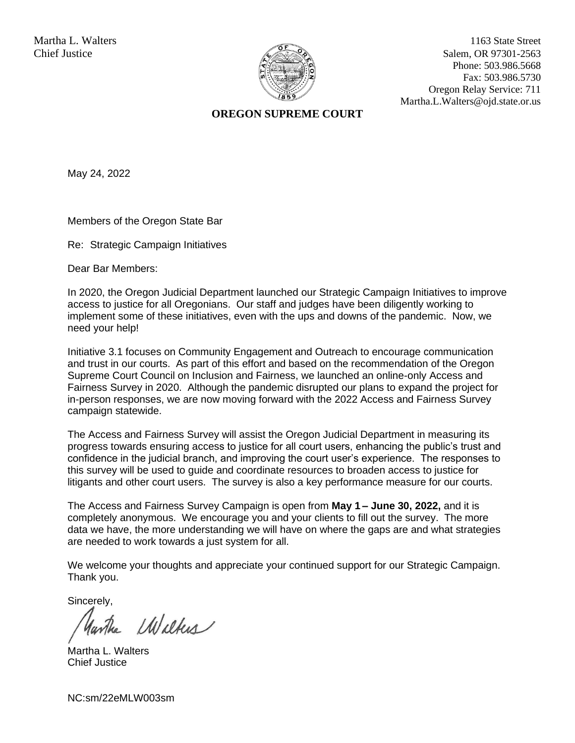

Martha L. Walters 1163 State Street Chief Justice Salem, OR 97301-2563 Phone: 503.986.5668 Fax: 503.986.5730 Oregon Relay Service: 711 Martha.L.Walters@ojd.state.or.us

## **OREGON SUPREME COURT**

May 24, 2022

Members of the Oregon State Bar

Re: Strategic Campaign Initiatives

Dear Bar Members:

In 2020, the Oregon Judicial Department launched our Strategic Campaign Initiatives to improve access to justice for all Oregonians. Our staff and judges have been diligently working to implement some of these initiatives, even with the ups and downs of the pandemic. Now, we need your help!

Initiative 3.1 focuses on Community Engagement and Outreach to encourage communication and trust in our courts. As part of this effort and based on the recommendation of the Oregon Supreme Court Council on Inclusion and Fairness, we launched an online-only Access and Fairness Survey in 2020. Although the pandemic disrupted our plans to expand the project for in-person responses, we are now moving forward with the 2022 Access and Fairness Survey campaign statewide.

The Access and Fairness Survey will assist the Oregon Judicial Department in measuring its progress towards ensuring access to justice for all court users, enhancing the public's trust and confidence in the judicial branch, and improving the court user's experience. The responses to this survey will be used to guide and coordinate resources to broaden access to justice for litigants and other court users. The survey is also a key performance measure for our courts.

The Access and Fairness Survey Campaign is open from **May 1 – June 30, 2022,** and it is completely anonymous. We encourage you and your clients to fill out the survey. The more data we have, the more understanding we will have on where the gaps are and what strategies are needed to work towards a just system for all.

We welcome your thoughts and appreciate your continued support for our Strategic Campaign. Thank you.

Sincerely,

Wilker

Martha L. Walters Chief Justice

NC:sm/22eMLW003sm